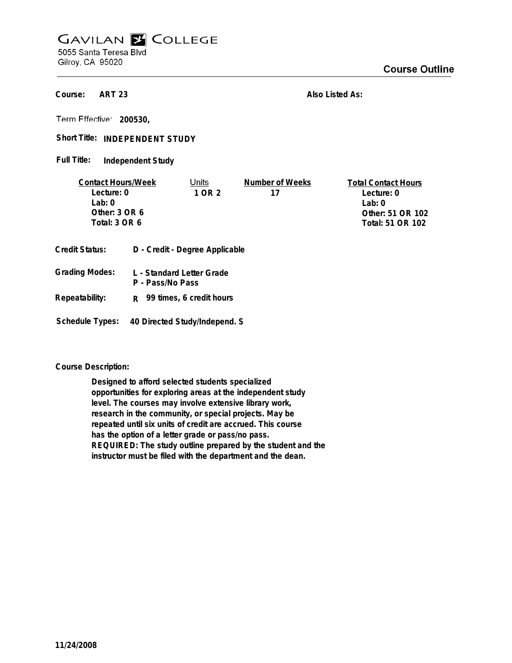## **GAVILAN E COLLEGE** 5055 Santa Teresa Blvd

Gilroy, CA 95020

**ART 23 Course:**

**Also Listed As:**

**200530,**

Short Title: INDEPENDENT STUDY

**Independent Study Full Title:**

| <b>Contact Hours/Week</b> |  | Units                          | Number of Weeks | <b>Total Contact Hours</b> |
|---------------------------|--|--------------------------------|-----------------|----------------------------|
| Lecture: 0                |  | 1 OR 2                         | 17              | Lecture: 0                 |
| l ab: 0                   |  |                                |                 | Lab: $0$                   |
| Other: $3$ OR $6$         |  |                                |                 | Other: 51 OR 102           |
| Total: 3 OR 6             |  |                                |                 | Total: 51 OR 102           |
| <b>Credit Status:</b>     |  | D - Credit - Degree Applicable |                 |                            |
| <b>Grading Modes:</b>     |  | L - Standard Letter Grade      |                 |                            |

| Orduniy modes.  | L - Jiahualu Lellei Olaue<br>P - Pass/No Pass |
|-----------------|-----------------------------------------------|
| Repeatability:  | R 99 times, 6 credit hours                    |
| Schedule Types: | 40 Directed Study/Independ. S                 |

**Course Description:**

**Designed to afford selected students specialized opportunities for exploring areas at the independent study level. The courses may involve extensive library work, research in the community, or special projects. May be repeated until six units of credit are accrued. This course has the option of a letter grade or pass/no pass. REQUIRED: The study outline prepared by the student and the instructor must be filed with the department and the dean.**